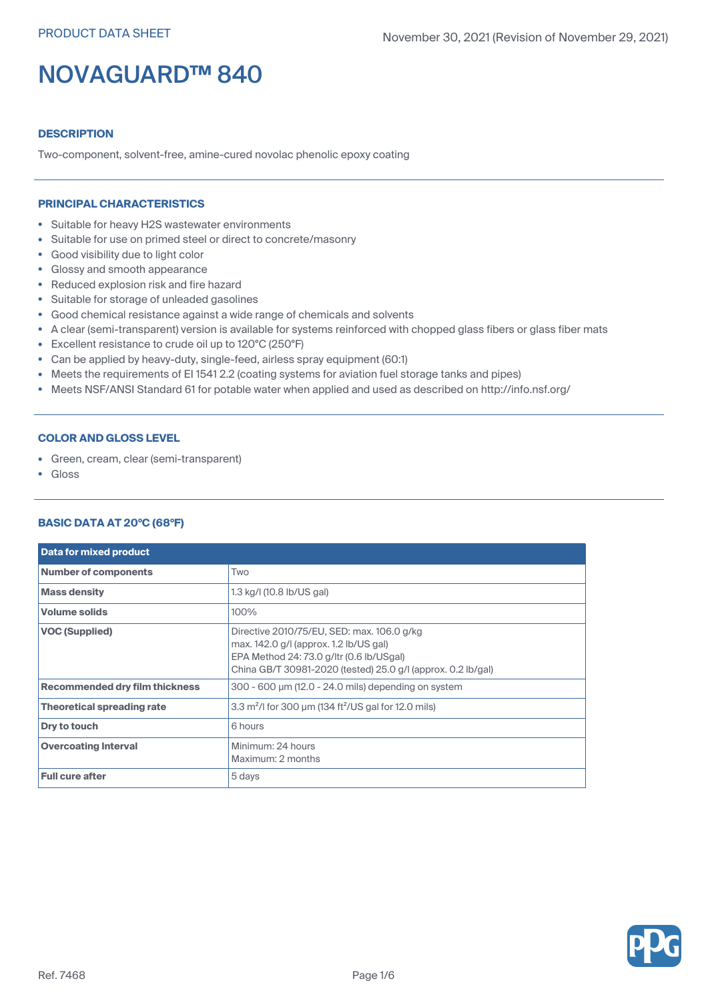## **DESCRIPTION**

Two-component, solvent-free, amine-cured novolac phenolic epoxy coating

### **PRINCIPAL CHARACTERISTICS**

- Suitable for heavy H2S wastewater environments
- Suitable for use on primed steel or direct to concrete/masonry
- Good visibility due to light color
- Glossy and smooth appearance
- Reduced explosion risk and fire hazard
- Suitable for storage of unleaded gasolines
- Good chemical resistance against <sup>a</sup> wide range of chemicals and solvents
- A clear (semi-transparent) version is available for systems reinforced with chopped glass fibers or glass fiber mats
- Excellent resistance to crude oil up to 120°C (250°F)
- Can be applied by heavy-duty, single-feed, airless spray equipment (60:1)
- Meets the requirements of EI 1541 2.2 (coating systems for aviation fuel storage tanks and pipes)
- Meets NSF/ANSI Standard 61 for potable water when applied and used as described on http://info.nsf.org/

## **COLOR AND GLOSS LEVEL**

- Green, cream, clear (semi-transparent)
- •Gloss

## **BASIC DATA AT 20°C (68°F)**

| <b>Data for mixed product</b>         |                                                                                                                                                                                                  |
|---------------------------------------|--------------------------------------------------------------------------------------------------------------------------------------------------------------------------------------------------|
| <b>Number of components</b>           | Two                                                                                                                                                                                              |
| <b>Mass density</b>                   | 1.3 kg/l (10.8 lb/US gal)                                                                                                                                                                        |
| <b>Volume solids</b>                  | 100%                                                                                                                                                                                             |
| <b>VOC (Supplied)</b>                 | Directive 2010/75/EU, SED: max. 106.0 g/kg<br>max. 142.0 g/l (approx. 1.2 lb/US gal)<br>EPA Method 24: 73.0 g/ltr (0.6 lb/USgal)<br>China GB/T 30981-2020 (tested) 25.0 g/l (approx. 0.2 lb/gal) |
| <b>Recommended dry film thickness</b> | 300 - 600 µm (12.0 - 24.0 mils) depending on system                                                                                                                                              |
| <b>Theoretical spreading rate</b>     | 3.3 $m^2$ /l for 300 µm (134 ft $^2$ /US gal for 12.0 mils)                                                                                                                                      |
| Dry to touch                          | 6 hours                                                                                                                                                                                          |
| <b>Overcoating Interval</b>           | Minimum: 24 hours<br>Maximum: 2 months                                                                                                                                                           |
| <b>Full cure after</b>                | 5 days                                                                                                                                                                                           |

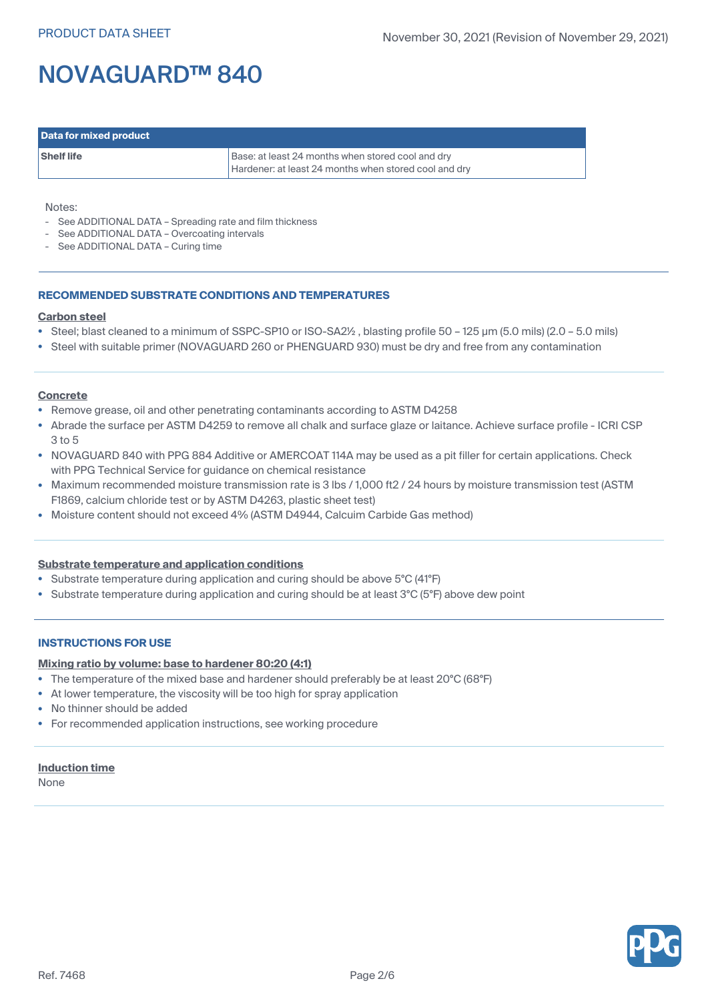| Data for mixed product |                                                                                                            |
|------------------------|------------------------------------------------------------------------------------------------------------|
| <b>Shelf life</b>      | Base: at least 24 months when stored cool and dry<br>Hardener: at least 24 months when stored cool and dry |

#### Notes:

- See ADDITIONAL DATA Spreading rate and film thickness
- See ADDITIONAL DATA Overcoating intervals
- See ADDITIONAL DATA Curing time

#### **RECOMMENDED SUBSTRATE CONDITIONS AND TEMPERATURES**

#### **Carbon steel**

- Steel; blast cleaned to <sup>a</sup> minimum of SSPC-SP10 or ISO-SA2½ , blasting profile 50 125 µm (5.0 mils) (2.0 5.0 mils)
- Steel with suitable primer (NOVAGUARD 260 or PHENGUARD 930) must be dry and free from any contamination

#### **Concrete**

- Remove grease, oil and other penetrating contaminants according to ASTM D4258
- • Abrade the surface per ASTM D4259 to remove all chalk and surface glaze or laitance. Achieve surface profile - ICRI CSP 3 to 5
- NOVAGUARD 840 with PPG 884 Additive or AMERCOAT 114A may be used as <sup>a</sup> pit filler for certain applications. Check with PPG Technical Service for guidance on chemical resistance
- Maximum recommended moisture transmission rate is 3 lbs / 1,000 ft2 / 24 hours by moisture transmission test (ASTM F1869, calcium chloride test or by ASTM D4263, plastic sheet test)
- Moisture content should not exceed 4% (ASTM D4944, Calcuim Carbide Gas method)

## **Substrate temperature and application conditions**

- Substrate temperature during application and curing should be above 5°C (41°F)
- Substrate temperature during application and curing should be at least 3°C (5°F) above dew point

#### **INSTRUCTIONS FOR USE**

#### **Mixing ratio by volume: base to hardener 80:20 (4:1)**

- The temperature of the mixed base and hardener should preferably be at least 20°C (68°F)
- •At lower temperature, the viscosity will be too high for spray application
- No thinner should be added
- For recommended application instructions, see working procedure

#### **Induction time**

None

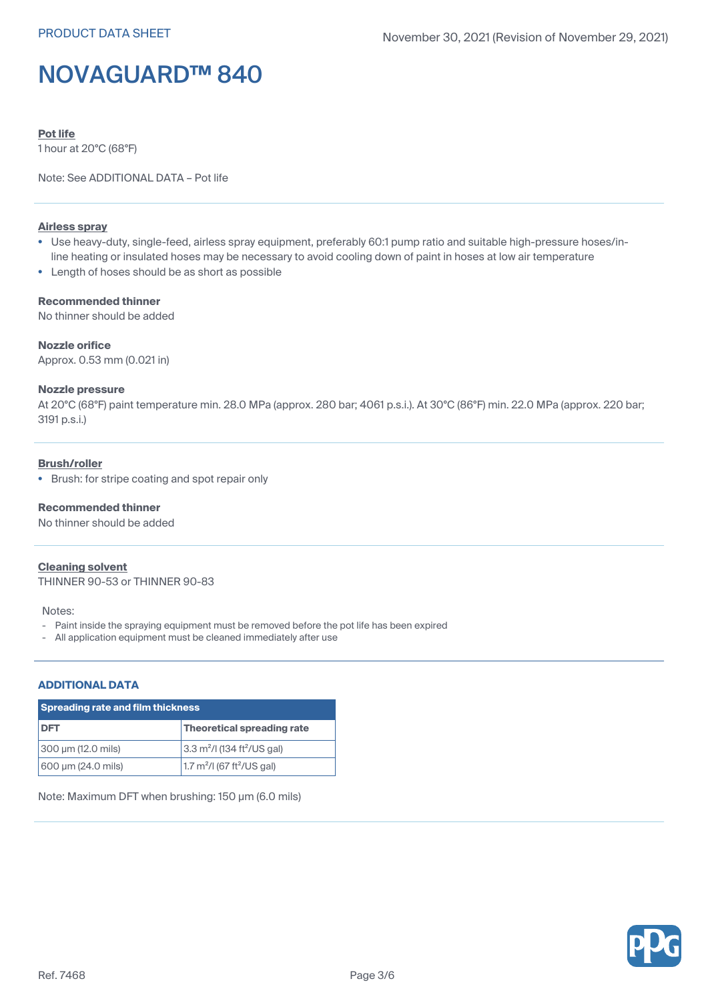**Pot life**

1 hour at 20°C (68°F)

Note: See ADDITIONAL DATA – Pot life

## **Airless spray**

- Use heavy-duty, single-feed, airless spray equipment, preferably 60:1 pump ratio and suitable high-pressure hoses/inline heating or insulated hoses may be necessary to avoid cooling down of paint in hoses at low air temperature
- Length of hoses should be as short as possible

### **Recommended thinner**

No thinner should be added

## **Nozzle orifice**

Approx. 0.53 mm (0.021 in)

#### **Nozzle pressure**

At 20°C (68°F) paint temperature min. 28.0 MPa (approx. 280 bar; 4061 p.s.i.). At 30°C (86°F) min. 22.0 MPa (approx. 220 bar; 3191 p.s.i.)

## **Brush/roller**

• Brush: for stripe coating and spot repair only

## **Recommended thinner**

No thinner should be added

#### **Cleaning solvent**

THINNER 90-53 or THINNER 90-83

#### Notes:

- Paint inside the spraying equipment must be removed before the pot life has been expired
- All application equipment must be cleaned immediately after use

## **ADDITIONAL DATA**

| <b>Spreading rate and film thickness</b> |                                                     |  |
|------------------------------------------|-----------------------------------------------------|--|
| <b>DFT</b>                               | Theoretical spreading rate                          |  |
| 300 µm (12.0 mils)                       | 3.3 m <sup>2</sup> /l (134 ft <sup>2</sup> /US gal) |  |
| 600 µm (24.0 mils)                       | 1.7 $m^2$ /I (67 ft <sup>2</sup> /US gal)           |  |

Note: Maximum DFT when brushing: 150 µm (6.0 mils)

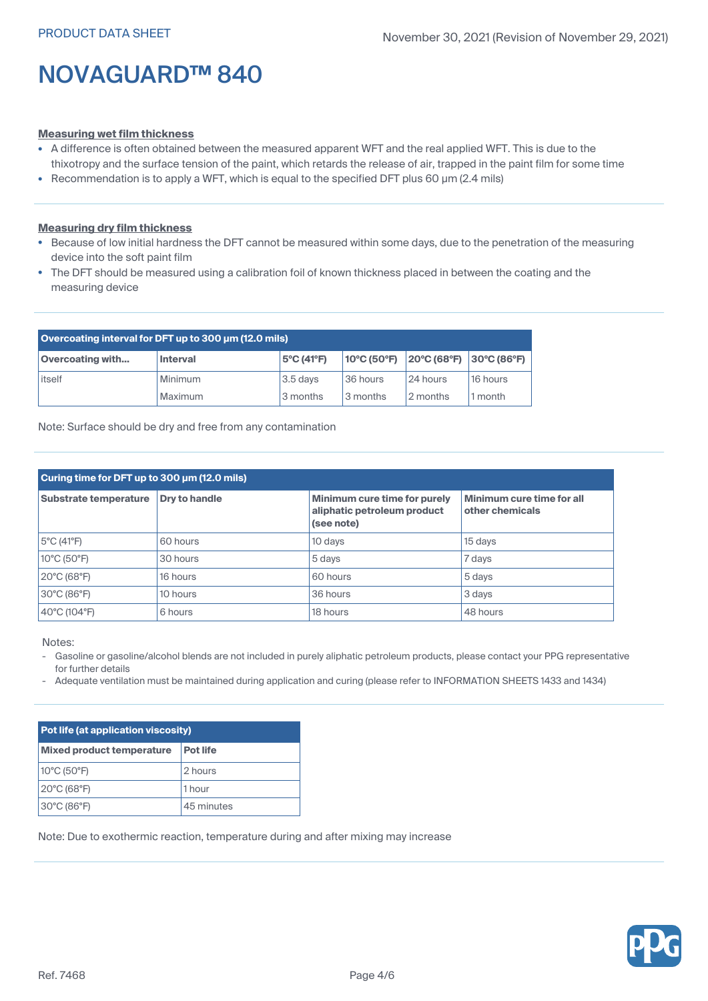#### **Measuring wet film thickness**

- A difference is often obtained between the measured apparent WFT and the real applied WFT. This is due to the thixotropy and the surface tension of the paint, which retards the release of air, trapped in the paint film for some time
- Recommendation is to apply a WFT, which is equal to the specified DFT plus 60 µm (2.4 mils)

## **Measuring dry film thickness**

- Because of low initial hardness the DFT cannot be measured within some days, due to the penetration of the measuring device into the soft paint film
- The DFT should be measured using <sup>a</sup> calibration foil of known thickness placed in between the coating and the measuring device

| Overcoating interval for DFT up to 300 um (12.0 mils) |                 |                                 |                                                       |          |                              |
|-------------------------------------------------------|-----------------|---------------------------------|-------------------------------------------------------|----------|------------------------------|
| <b>Overcoating with</b>                               | <b>Interval</b> | $5^{\circ}$ C (41 $^{\circ}$ F) | $ 10^{\circ}C(50^{\circ}F) 20^{\circ}C(68^{\circ}F) $ |          | $ 30^{\circ}C(86^{\circ}F) $ |
| itself                                                | Minimum         | $3.5$ days                      | 36 hours                                              | 24 hours | 16 hours                     |
|                                                       | Maximum         | 3 months                        | 3 months                                              | 2 months | l month                      |

Note: Surface should be dry and free from any contamination

| Curing time for DFT up to 300 µm (12.0 mils) |                      |                                                                           |                                              |  |
|----------------------------------------------|----------------------|---------------------------------------------------------------------------|----------------------------------------------|--|
| Substrate temperature                        | <b>Drv to handle</b> | Minimum cure time for purely<br>aliphatic petroleum product<br>(see note) | Minimum cure time for all<br>other chemicals |  |
| 5°C (41°F)                                   | 60 hours             | 10 days                                                                   | 15 days                                      |  |
| 10°C (50°F)                                  | 30 hours             | 5 days                                                                    | 7 days                                       |  |
| 20°C (68°F)                                  | 16 hours             | 60 hours                                                                  | 5 days                                       |  |
| 30°C (86°F)                                  | 10 hours             | 36 hours                                                                  | 3 days                                       |  |
| 40°C (104°F)                                 | 6 hours              | 18 hours                                                                  | 48 hours                                     |  |

Notes:

- Gasoline or gasoline/alcohol blends are not included in purely aliphatic petroleum products, please contact your PPG representative for further details
- Adequate ventilation must be maintained during application and curing (please refer to INFORMATION SHEETS 1433 and 1434)

| Pot life (at application viscosity) |                 |  |
|-------------------------------------|-----------------|--|
| <b>Mixed product temperature</b>    | <b>Pot life</b> |  |
| 10°C (50°F)                         | 2 hours         |  |
| 20°C (68°F)                         | 1 hour          |  |
| 30°C (86°F)                         | 45 minutes      |  |

Note: Due to exothermic reaction, temperature during and after mixing may increase

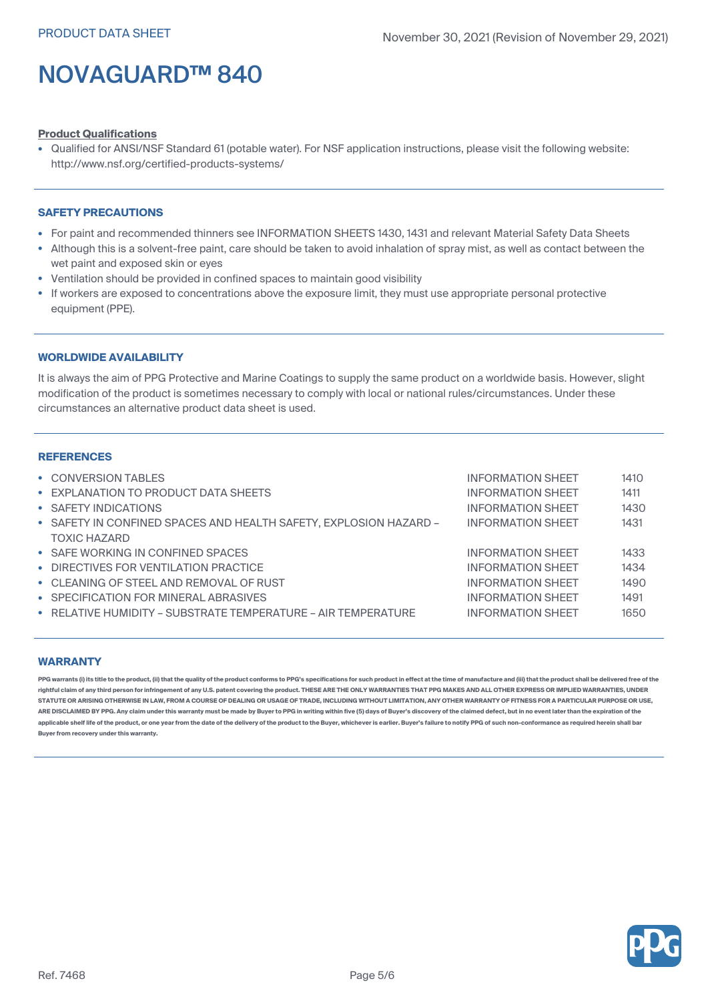### **Product Qualifications**

• Qualified for ANSI/NSF Standard 61 (potable water). For NSF application instructions, please visit the following website: http://www.nsf.org/certified-products-systems/

### **SAFETY PRECAUTIONS**

- For paint and recommended thinners see INFORMATION SHEETS 1430, 1431 and relevant Material Safety Data Sheets
- Although this is <sup>a</sup> solvent-free paint, care should be taken to avoid inhalation of spray mist, as well as contact between the wet paint and exposed skin or eyes
- •Ventilation should be provided in confined spaces to maintain good visibility
- • If workers are exposed to concentrations above the exposure limit, they must use appropriate personal protective equipment (PPE).

## **WORLDWIDE AVAILABILITY**

It is always the aim of PPG Protective and Marine Coatings to supply the same product on a worldwide basis. However, slight modification of the product is sometimes necessary to comply with local or national rules/circumstances. Under these circumstances an alternative product data sheet is used.

### **REFERENCES**

| • CONVERSION TABLES                                               | <b>INFORMATION SHEET</b> | 1410 |
|-------------------------------------------------------------------|--------------------------|------|
| • EXPLANATION TO PRODUCT DATA SHEETS                              | <b>INFORMATION SHEET</b> | 1411 |
| • SAFETY INDICATIONS                                              | <b>INFORMATION SHEET</b> | 1430 |
| • SAFETY IN CONFINED SPACES AND HEALTH SAFETY, EXPLOSION HAZARD - | <b>INFORMATION SHEET</b> | 1431 |
| <b>TOXIC HAZARD</b>                                               |                          |      |
| • SAFE WORKING IN CONFINED SPACES                                 | <b>INFORMATION SHEET</b> | 1433 |
| • DIRECTIVES FOR VENTILATION PRACTICE                             | <b>INFORMATION SHEET</b> | 1434 |
| • CLEANING OF STEEL AND REMOVAL OF RUST                           | <b>INFORMATION SHEET</b> | 1490 |
| • SPECIFICATION FOR MINERAL ABRASIVES                             | <b>INFORMATION SHEET</b> | 1491 |
| • RELATIVE HUMIDITY - SUBSTRATE TEMPERATURE - AIR TEMPERATURE     | <b>INFORMATION SHEET</b> | 1650 |
|                                                                   |                          |      |

## **WARRANTY**

PPG warrants (i) its title to the product, (ii) that the quality of the product conforms to PPG's specifications for such product in effect at the time of manufacture and (iii) that the product shall be delivered free of t rightful claim of any third person for infringement of any U.S. patent covering the product. THESE ARE THE ONLY WARRANTIES THAT PPG MAKES AND ALL OTHER EXPRESS OR IMPLIED WARRANTIES, UNDER STATUTE OR ARISING OTHERWISE IN LAW, FROM A COURSE OF DEALING OR USAGE OF TRADE, INCLUDING WITHOUT LIMITATION, ANY OTHER WARRANTY OF FITNESS FOR A PARTICULAR PURPOSE OR USE, ARE DISCLAIMED BY PPG. Any claim under this warranty must be made by Buyer to PPG in writing within five (5) days of Buyer's discovery of the claimed defect, but in no event later than the expiration of the applicable shelf life of the product, or one year from the date of the delivery of the product to the Buyer, whichever is earlier. Buyer's failure to notify PPG of such non-conformance as required herein shall bar **Buyer from recovery under this warranty.**